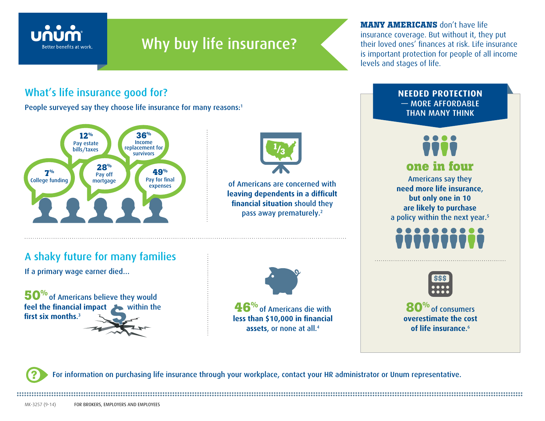

## Why buy life insurance?

**MANY AMERICANS** don't have life insurance coverage. But without it, they put their loved ones' finances at risk. Life insurance is important protection for people of all income levels and stages of life.

> **NEEDED PROTECTION** — MORE AFFORDABLE THAN MANY THINK

## What's life insurance good for?

People surveyed say they choose life insurance for many reasons:<sup>1</sup>





of Americans are concerned with **leaving dependents in a difficult financial situation** should they pass away prematurely.2

## A shaky future for many families

If a primary wage earner died…







Americans say they

**one in four**





**80%** of consumers **overestimate the cost of life insurance**. 6

**?** For information on purchasing life insurance through your workplace, contact your HR administrator or Unum representative.